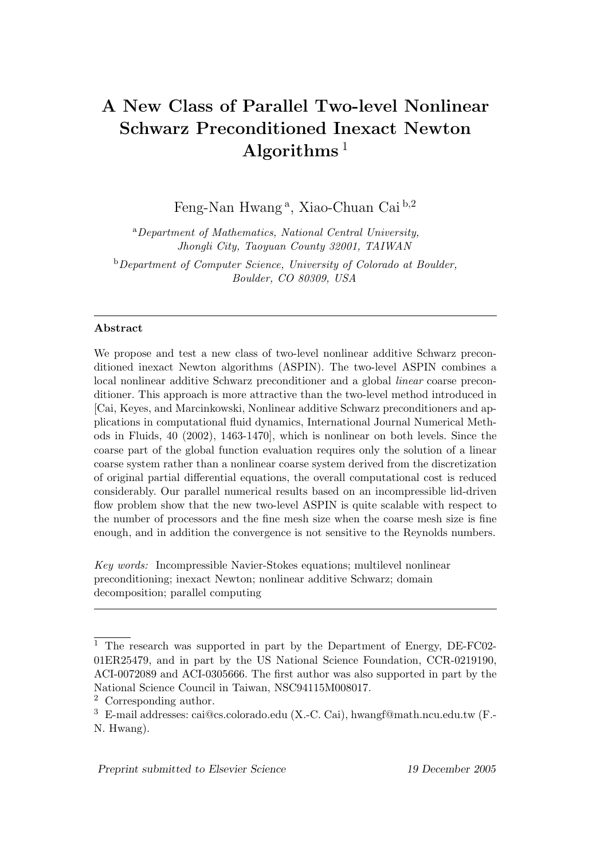# A New Class of Parallel Two-level Nonlinear Schwarz Preconditioned Inexact Newton Algorithms  $1$

Feng-Nan Hwang<sup>a</sup>, Xiao-Chuan Cai<sup>b,2</sup>

<sup>a</sup>Department of Mathematics, National Central University, Jhongli City, Taoyuan County 32001, TAIWAN  $b$ Department of Computer Science, University of Colorado at Boulder, Boulder, CO 80309, USA

#### Abstract

We propose and test a new class of two-level nonlinear additive Schwarz preconditioned inexact Newton algorithms (ASPIN). The two-level ASPIN combines a local nonlinear additive Schwarz preconditioner and a global linear coarse preconditioner. This approach is more attractive than the two-level method introduced in [Cai, Keyes, and Marcinkowski, Nonlinear additive Schwarz preconditioners and applications in computational fluid dynamics, International Journal Numerical Methods in Fluids, 40 (2002), 1463-1470], which is nonlinear on both levels. Since the coarse part of the global function evaluation requires only the solution of a linear coarse system rather than a nonlinear coarse system derived from the discretization of original partial differential equations, the overall computational cost is reduced considerably. Our parallel numerical results based on an incompressible lid-driven flow problem show that the new two-level ASPIN is quite scalable with respect to the number of processors and the fine mesh size when the coarse mesh size is fine enough, and in addition the convergence is not sensitive to the Reynolds numbers.

Key words: Incompressible Navier-Stokes equations; multilevel nonlinear preconditioning; inexact Newton; nonlinear additive Schwarz; domain decomposition; parallel computing

<sup>1</sup> The research was supported in part by the Department of Energy, DE-FC02- 01ER25479, and in part by the US National Science Foundation, CCR-0219190, ACI-0072089 and ACI-0305666. The first author was also supported in part by the National Science Council in Taiwan, NSC94115M008017.

<sup>2</sup> Corresponding author.

<sup>3</sup> E-mail addresses: cai@cs.colorado.edu (X.-C. Cai), hwangf@math.ncu.edu.tw (F.- N. Hwang).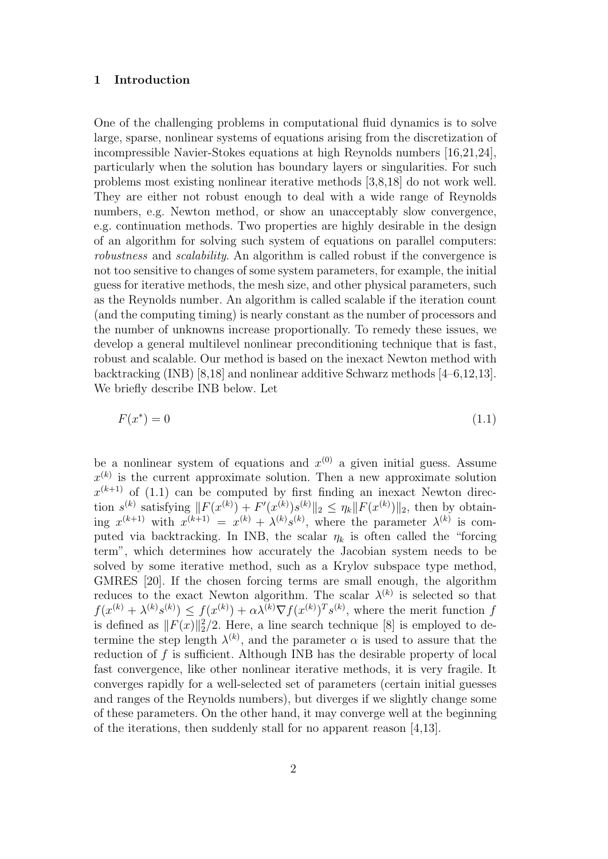#### 1 Introduction

One of the challenging problems in computational fluid dynamics is to solve large, sparse, nonlinear systems of equations arising from the discretization of incompressible Navier-Stokes equations at high Reynolds numbers [16,21,24], particularly when the solution has boundary layers or singularities. For such problems most existing nonlinear iterative methods [3,8,18] do not work well. They are either not robust enough to deal with a wide range of Reynolds numbers, e.g. Newton method, or show an unacceptably slow convergence, e.g. continuation methods. Two properties are highly desirable in the design of an algorithm for solving such system of equations on parallel computers: robustness and scalability. An algorithm is called robust if the convergence is not too sensitive to changes of some system parameters, for example, the initial guess for iterative methods, the mesh size, and other physical parameters, such as the Reynolds number. An algorithm is called scalable if the iteration count (and the computing timing) is nearly constant as the number of processors and the number of unknowns increase proportionally. To remedy these issues, we develop a general multilevel nonlinear preconditioning technique that is fast, robust and scalable. Our method is based on the inexact Newton method with backtracking (INB) [8,18] and nonlinear additive Schwarz methods [4–6,12,13]. We briefly describe INB below. Let

$$
F(x^*) = 0\tag{1.1}
$$

be a nonlinear system of equations and  $x^{(0)}$  a given initial guess. Assume  $x^{(k)}$  is the current approximate solution. Then a new approximate solution  $x^{(k+1)}$  of (1.1) can be computed by first finding an inexact Newton direction  $s^{(k)}$  satisfying  $||F(x^{(k)}) + F'(x^{(k)})s^{(k)}||_2 \leq \eta_k ||F(x^{(k)})||_2$ , then by obtaining  $x^{(k+1)}$  with  $x^{(k+1)} = x^{(k)} + \lambda^{(k)} s^{(k)}$ , where the parameter  $\lambda^{(k)}$  is computed via backtracking. In INB, the scalar  $\eta_k$  is often called the "forcing" term", which determines how accurately the Jacobian system needs to be solved by some iterative method, such as a Krylov subspace type method, GMRES [20]. If the chosen forcing terms are small enough, the algorithm reduces to the exact Newton algorithm. The scalar  $\lambda^{(k)}$  is selected so that  $f(x^{(k)} + \lambda^{(k)}s^{(k)}) \leq f(x^{(k)}) + \alpha \lambda^{(k)} \nabla f(x^{(k)})^T s^{(k)}$ , where the merit function f is defined as  $||F(x)||_2^2/2$ . Here, a line search technique [8] is employed to determine the step length  $\lambda^{(k)}$ , and the parameter  $\alpha$  is used to assure that the reduction of f is sufficient. Although INB has the desirable property of local fast convergence, like other nonlinear iterative methods, it is very fragile. It converges rapidly for a well-selected set of parameters (certain initial guesses and ranges of the Reynolds numbers), but diverges if we slightly change some of these parameters. On the other hand, it may converge well at the beginning of the iterations, then suddenly stall for no apparent reason [4,13].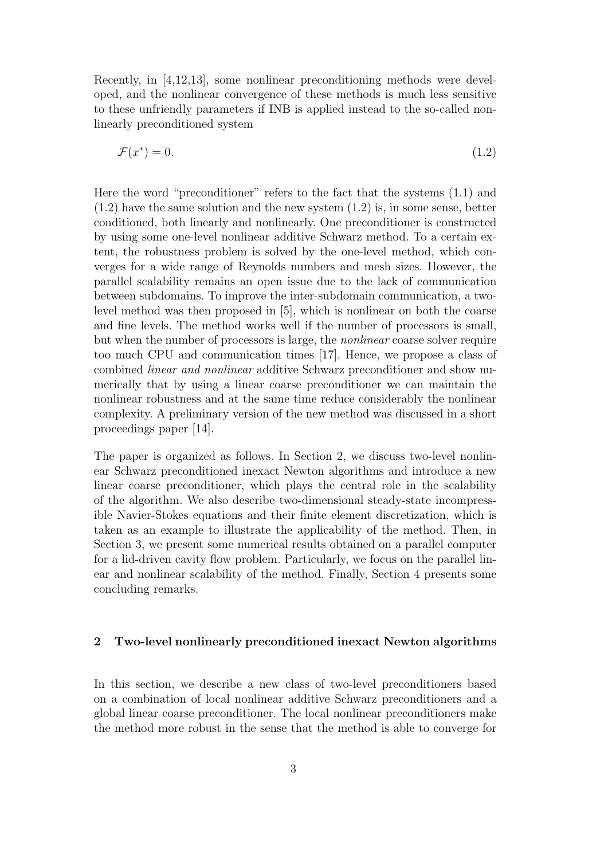Recently, in [4,12,13], some nonlinear preconditioning methods were developed, and the nonlinear convergence of these methods is much less sensitive to these unfriendly parameters if INB is applied instead to the so-called nonlinearly preconditioned system

$$
\mathcal{F}(x^*) = 0.\tag{1.2}
$$

Here the word "preconditioner" refers to the fact that the systems (1.1) and  $(1.2)$  have the same solution and the new system  $(1.2)$  is, in some sense, better conditioned, both linearly and nonlinearly. One preconditioner is constructed by using some one-level nonlinear additive Schwarz method. To a certain extent, the robustness problem is solved by the one-level method, which converges for a wide range of Reynolds numbers and mesh sizes. However, the parallel scalability remains an open issue due to the lack of communication between subdomains. To improve the inter-subdomain communication, a twolevel method was then proposed in [5], which is nonlinear on both the coarse and fine levels. The method works well if the number of processors is small, but when the number of processors is large, the nonlinear coarse solver require too much CPU and communication times [17]. Hence, we propose a class of combined linear and nonlinear additive Schwarz preconditioner and show numerically that by using a linear coarse preconditioner we can maintain the nonlinear robustness and at the same time reduce considerably the nonlinear complexity. A preliminary version of the new method was discussed in a short proceedings paper [14].

The paper is organized as follows. In Section 2, we discuss two-level nonlinear Schwarz preconditioned inexact Newton algorithms and introduce a new linear coarse preconditioner, which plays the central role in the scalability of the algorithm. We also describe two-dimensional steady-state incompressible Navier-Stokes equations and their finite element discretization, which is taken as an example to illustrate the applicability of the method. Then, in Section 3, we present some numerical results obtained on a parallel computer for a lid-driven cavity flow problem. Particularly, we focus on the parallel linear and nonlinear scalability of the method. Finally, Section 4 presents some concluding remarks.

# 2 Two-level nonlinearly preconditioned inexact Newton algorithms

In this section, we describe a new class of two-level preconditioners based on a combination of local nonlinear additive Schwarz preconditioners and a global linear coarse preconditioner. The local nonlinear preconditioners make the method more robust in the sense that the method is able to converge for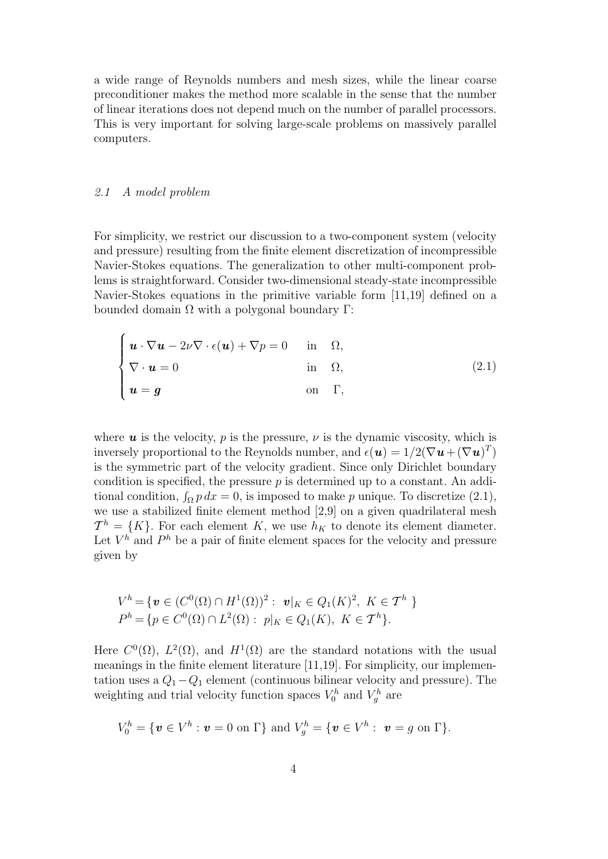a wide range of Reynolds numbers and mesh sizes, while the linear coarse preconditioner makes the method more scalable in the sense that the number of linear iterations does not depend much on the number of parallel processors. This is very important for solving large-scale problems on massively parallel computers.

#### 2.1 A model problem

For simplicity, we restrict our discussion to a two-component system (velocity and pressure) resulting from the finite element discretization of incompressible Navier-Stokes equations. The generalization to other multi-component problems is straightforward. Consider two-dimensional steady-state incompressible Navier-Stokes equations in the primitive variable form [11,19] defined on a bounded domain  $Ω$  with a polygonal boundary Γ:

$$
\begin{cases}\n\boldsymbol{u} \cdot \nabla \boldsymbol{u} - 2\nu \nabla \cdot \epsilon(\boldsymbol{u}) + \nabla p = 0 & \text{in } \Omega, \\
\nabla \cdot \boldsymbol{u} = 0 & \text{in } \Omega, \\
\boldsymbol{u} = \boldsymbol{g} & \text{on } \Gamma,\n\end{cases}
$$
\n(2.1)

where  $u$  is the velocity, p is the pressure,  $\nu$  is the dynamic viscosity, which is inversely proportional to the Reynolds number, and  $\epsilon(\boldsymbol{u}) = 1/2(\nabla \boldsymbol{u} + (\nabla \boldsymbol{u})^T)$ is the symmetric part of the velocity gradient. Since only Dirichlet boundary condition is specified, the pressure  $p$  is determined up to a constant. An additional condition,  $\int_{\Omega} p \, dx = 0$ , is imposed to make p unique. To discretize (2.1), we use a stabilized finite element method [2,9] on a given quadrilateral mesh  $\mathcal{T}^h = \{K\}.$  For each element K, we use  $h_K$  to denote its element diameter. Let  $V^h$  and  $P^h$  be a pair of finite element spaces for the velocity and pressure given by

$$
V^h = \{ \mathbf{v} \in (C^0(\Omega) \cap H^1(\Omega))^2 : \mathbf{v}|_K \in Q_1(K)^2, \ K \in \mathcal{T}^h \}
$$
  

$$
P^h = \{ p \in C^0(\Omega) \cap L^2(\Omega) : \ p|_K \in Q_1(K), \ K \in \mathcal{T}^h \}.
$$

Here  $C^0(\Omega)$ ,  $L^2(\Omega)$ , and  $H^1(\Omega)$  are the standard notations with the usual meanings in the finite element literature [11,19]. For simplicity, our implementation uses a  $Q_1 - Q_1$  element (continuous bilinear velocity and pressure). The weighting and trial velocity function spaces  $V_0^h$  and  $V_g^h$  are

$$
V_0^h = \{ \boldsymbol{v} \in V^h : \boldsymbol{v} = 0 \text{ on } \Gamma \} \text{ and } V_g^h = \{ \boldsymbol{v} \in V^h : \boldsymbol{v} = g \text{ on } \Gamma \}.
$$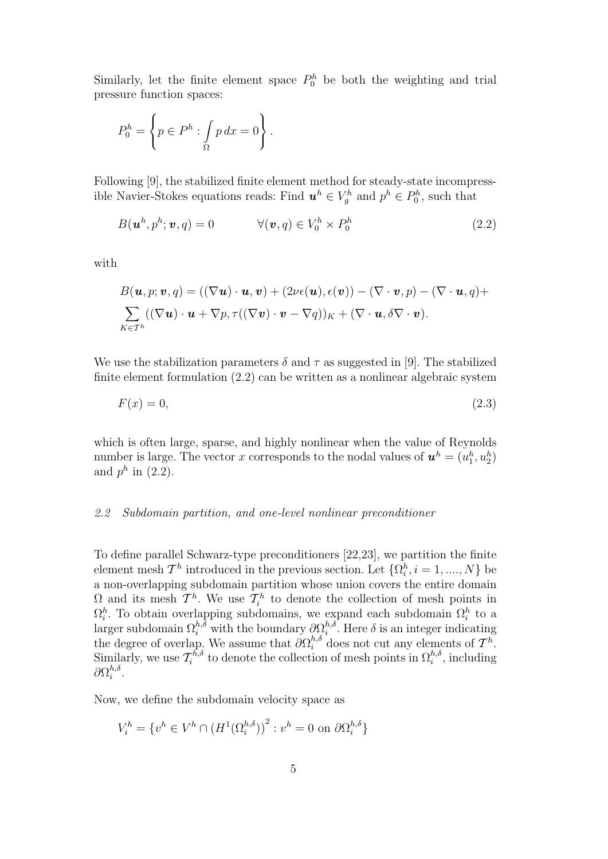Similarly, let the finite element space  $P_0^h$  be both the weighting and trial pressure function spaces:

$$
P_0^h = \left\{ p \in P^h : \int_{\Omega} p \, dx = 0 \right\}.
$$

Following [9], the stabilized finite element method for steady-state incompressible Navier-Stokes equations reads: Find  $u^h \in V_g^h$  and  $p^h \in P_0^h$ , such that

$$
B(\boldsymbol{u}^h, p^h; \boldsymbol{v}, q) = 0 \qquad \forall (\boldsymbol{v}, q) \in V_0^h \times P_0^h \tag{2.2}
$$

with

$$
B(\mathbf{u},p;\mathbf{v},q) = ((\nabla \mathbf{u}) \cdot \mathbf{u}, \mathbf{v}) + (2\nu\epsilon(\mathbf{u}), \epsilon(\mathbf{v})) - (\nabla \cdot \mathbf{v}, p) - (\nabla \cdot \mathbf{u}, q) + \sum_{K \in \mathcal{T}^h} ((\nabla \mathbf{u}) \cdot \mathbf{u} + \nabla p, \tau((\nabla \mathbf{v}) \cdot \mathbf{v} - \nabla q))_K + (\nabla \cdot \mathbf{u}, \delta \nabla \cdot \mathbf{v}).
$$

We use the stabilization parameters  $\delta$  and  $\tau$  as suggested in [9]. The stabilized finite element formulation (2.2) can be written as a nonlinear algebraic system

$$
F(x) = 0,\t\t(2.3)
$$

which is often large, sparse, and highly nonlinear when the value of Reynolds number is large. The vector x corresponds to the nodal values of  $\mathbf{u}^h = (u_1^h, u_2^h)$ and  $p^h$  in (2.2).

## 2.2 Subdomain partition, and one-level nonlinear preconditioner

To define parallel Schwarz-type preconditioners [22,23], we partition the finite element mesh  $\mathcal{T}^h$  introduced in the previous section. Let  $\{\Omega_i^h, i = 1, ..., N\}$  be a non-overlapping subdomain partition whose union covers the entire domain  $\Omega$  and its mesh  $\mathcal{T}^h$ . We use  $\mathcal{T}_i^h$  to denote the collection of mesh points in  $\Omega_i^h$ . To obtain overlapping subdomains, we expand each subdomain  $\Omega_i^h$  to a larger subdomain  $\Omega_i^{h,\delta}$  with the boundary  $\partial \Omega_i^{h,\delta}$ <sup>*n*, $\delta$ </sup>. Here  $\delta$  is an integer indicating the degree of overlap. We assume that  $\partial \Omega_i^{h,\delta}$  does not cut any elements of  $\mathcal{T}^h$ . Similarly, we use  $\mathcal{T}_i^{\bar{h},\delta}$  $\tau_i^{h,\delta}$  to denote the collection of mesh points in  $\Omega_i^{h,\delta}$ , including  $\partial \Omega_i^{h, \delta}$  $i^{n,o}$ .

Now, we define the subdomain velocity space as

$$
V_i^h = \{ v^h \in V^h \cap (H^1(\Omega_i^{h,\delta}))^2 : v^h = 0 \text{ on } \partial \Omega_i^{h,\delta} \}
$$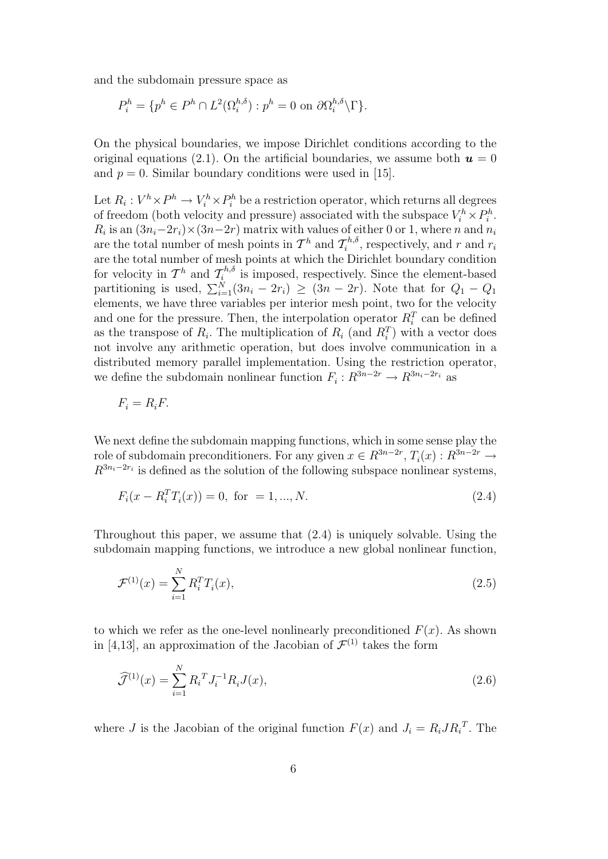and the subdomain pressure space as

$$
P_i^h = \{ p^h \in P^h \cap L^2(\Omega_i^{h,\delta}) : p^h = 0 \text{ on } \partial \Omega_i^{h,\delta} \backslash \Gamma \}.
$$

On the physical boundaries, we impose Dirichlet conditions according to the original equations (2.1). On the artificial boundaries, we assume both  $u = 0$ and  $p = 0$ . Similar boundary conditions were used in [15].

Let  $R_i: V^h \times P^h \to V_i^h \times P_i^h$  be a restriction operator, which returns all degrees of freedom (both velocity and pressure) associated with the subspace  $V_i^h \times P_i^h$ .  $R_i$  is an  $(3n_i-2r_i)\times(3n-2r)$  matrix with values of either 0 or 1, where n and  $n_i$ are the total number of mesh points in  $\mathcal{T}^h$  and  $\mathcal{T}_i^{h,\delta}$  $\tau_i^{n,o}$ , respectively, and r and  $r_i$ are the total number of mesh points at which the Dirichlet boundary condition for velocity in  $\mathcal{T}^h$  and  $\mathcal{T}_i^{h,\delta}$  $\zeta_i^{n,o}$  is imposed, respectively. Since the element-based partitioning is used,  $\sum_{i=1}^{N} (3n_i - 2r_i) \ge (3n - 2r)$ . Note that for  $Q_1 - Q_1$ elements, we have three variables per interior mesh point, two for the velocity and one for the pressure. Then, the interpolation operator  $R_i^T$  can be defined as the transpose of  $R_i$ . The multiplication of  $R_i$  (and  $R_i^T$ ) with a vector does not involve any arithmetic operation, but does involve communication in a distributed memory parallel implementation. Using the restriction operator, we define the subdomain nonlinear function  $F_i: R^{3n-2r} \to R^{3n_i-2r_i}$  as

$$
F_i = R_i F.
$$

We next define the subdomain mapping functions, which in some sense play the role of subdomain preconditioners. For any given  $x \in R^{3n-2r}$ ,  $T_i(x) : R^{3n-2r} \to$  $R^{3n_i-2r_i}$  is defined as the solution of the following subspace nonlinear systems,

$$
F_i(x - R_i^T T_i(x)) = 0, \text{ for } = 1, ..., N.
$$
 (2.4)

Throughout this paper, we assume that (2.4) is uniquely solvable. Using the subdomain mapping functions, we introduce a new global nonlinear function,

$$
\mathcal{F}^{(1)}(x) = \sum_{i=1}^{N} R_i^T T_i(x),\tag{2.5}
$$

to which we refer as the one-level nonlinearly preconditioned  $F(x)$ . As shown in [4,13], an approximation of the Jacobian of  $\mathcal{F}^{(1)}$  takes the form

$$
\widehat{\mathcal{J}}^{(1)}(x) = \sum_{i=1}^{N} R_i^T J_i^{-1} R_i J(x), \qquad (2.6)
$$

where *J* is the Jacobian of the original function  $F(x)$  and  $J_i = R_i J R_i^T$ . The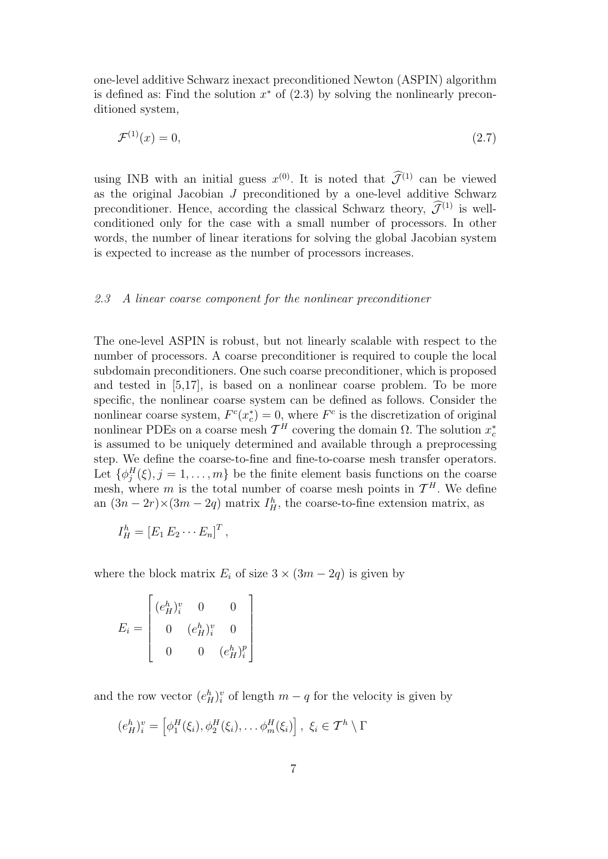one-level additive Schwarz inexact preconditioned Newton (ASPIN) algorithm is defined as: Find the solution  $x^*$  of  $(2.3)$  by solving the nonlinearly preconditioned system,

$$
\mathcal{F}^{(1)}(x) = 0,\tag{2.7}
$$

using INB with an initial guess  $x^{(0)}$ . It is noted that  $\widetilde{\mathcal{J}}^{(1)}$  can be viewed as the original Jacobian  $J$  preconditioned by a one-level additive Schwarz preconditioner. Hence, according the classical Schwarz theory,  $\widehat{\mathcal{J}}^{(1)}$  is wellconditioned only for the case with a small number of processors. In other words, the number of linear iterations for solving the global Jacobian system is expected to increase as the number of processors increases.

#### 2.3 A linear coarse component for the nonlinear preconditioner

The one-level ASPIN is robust, but not linearly scalable with respect to the number of processors. A coarse preconditioner is required to couple the local subdomain preconditioners. One such coarse preconditioner, which is proposed and tested in [5,17], is based on a nonlinear coarse problem. To be more specific, the nonlinear coarse system can be defined as follows. Consider the nonlinear coarse system,  $F^c(x_c^*) = 0$ , where  $F^c$  is the discretization of original nonlinear PDEs on a coarse mesh  $\mathcal{T}^H$  covering the domain  $\Omega$ . The solution  $x_c^*$ is assumed to be uniquely determined and available through a preprocessing step. We define the coarse-to-fine and fine-to-coarse mesh transfer operators. Let  $\{\phi_j^H(\xi), j=1,\ldots,m\}$  be the finite element basis functions on the coarse mesh, where m is the total number of coarse mesh points in  $\mathcal{T}^H$ . We define an  $(3n - 2r) \times (3m - 2q)$  matrix  $I_H^h$ , the coarse-to-fine extension matrix, as

$$
I_H^h = \left[E_1 E_2 \cdots E_n\right]^T,
$$

where the block matrix  $E_i$  of size  $3 \times (3m - 2q)$  is given by

$$
E_i = \begin{bmatrix} (e_H^h)_i^v & 0 & 0 \\ 0 & (e_H^h)_i^v & 0 \\ 0 & 0 & (e_H^h)_i^p \end{bmatrix}
$$

and the row vector  $(e_H^h)_i^v$  of length  $m-q$  for the velocity is given by

$$
(e_H^h)_i^v = \left[\phi_1^H(\xi_i), \phi_2^H(\xi_i), \dots, \phi_m^H(\xi_i)\right], \xi_i \in \mathcal{T}^h \setminus \Gamma
$$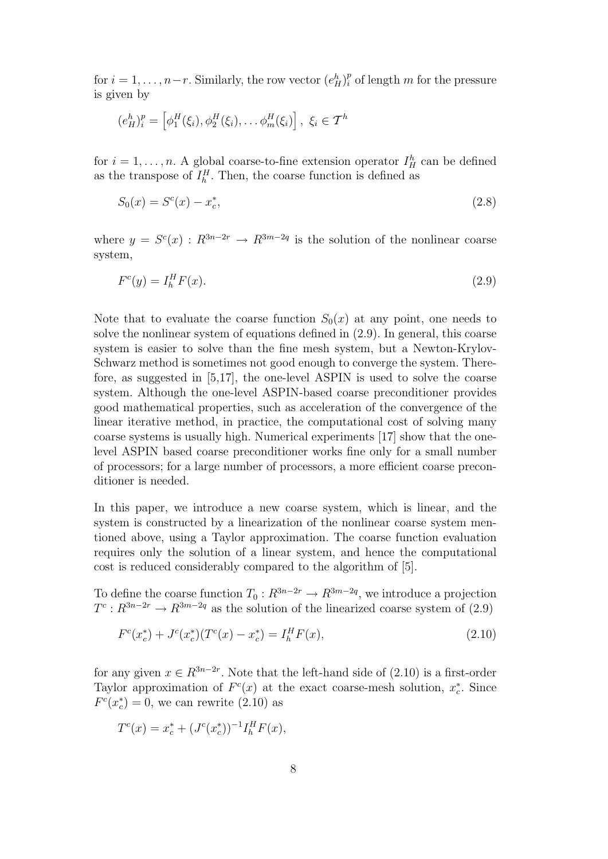for  $i = 1, \ldots, n-r$ . Similarly, the row vector  $(e_H^h)_i^p$  of length m for the pressure is given by

$$
(e_H^h)_i^p = \left[\phi_1^H(\xi_i), \phi_2^H(\xi_i), \dots, \phi_m^H(\xi_i)\right], \xi_i \in \mathcal{T}^h
$$

for  $i = 1, \ldots, n$ . A global coarse-to-fine extension operator  $I_H^h$  can be defined as the transpose of  $I_h^H$ . Then, the coarse function is defined as

$$
S_0(x) = S^c(x) - x_c^*,
$$
\n(2.8)

where  $y = S^{c}(x) : R^{3n-2r} \to R^{3m-2q}$  is the solution of the nonlinear coarse system,

$$
F^c(y) = I_h^H F(x). \tag{2.9}
$$

Note that to evaluate the coarse function  $S_0(x)$  at any point, one needs to solve the nonlinear system of equations defined in (2.9). In general, this coarse system is easier to solve than the fine mesh system, but a Newton-Krylov-Schwarz method is sometimes not good enough to converge the system. Therefore, as suggested in [5,17], the one-level ASPIN is used to solve the coarse system. Although the one-level ASPIN-based coarse preconditioner provides good mathematical properties, such as acceleration of the convergence of the linear iterative method, in practice, the computational cost of solving many coarse systems is usually high. Numerical experiments [17] show that the onelevel ASPIN based coarse preconditioner works fine only for a small number of processors; for a large number of processors, a more efficient coarse preconditioner is needed.

In this paper, we introduce a new coarse system, which is linear, and the system is constructed by a linearization of the nonlinear coarse system mentioned above, using a Taylor approximation. The coarse function evaluation requires only the solution of a linear system, and hence the computational cost is reduced considerably compared to the algorithm of [5].

To define the coarse function  $T_0: R^{3n-2r} \to R^{3m-2q}$ , we introduce a projection  $T^c: R^{3n-2r} \to R^{3m-2q}$  as the solution of the linearized coarse system of (2.9)

$$
F^{c}(x_{c}^{*}) + J^{c}(x_{c}^{*})(T^{c}(x) - x_{c}^{*}) = I_{h}^{H}F(x),
$$
\n(2.10)

for any given  $x \in R^{3n-2r}$ . Note that the left-hand side of  $(2.10)$  is a first-order Taylor approximation of  $F^c(x)$  at the exact coarse-mesh solution,  $x_c^*$ . Since  $F<sup>c</sup>(x<sub>c</sub><sup>*</sup>) = 0$ , we can rewrite (2.10) as

$$
T^{c}(x) = x_{c}^{*} + (J^{c}(x_{c}^{*}))^{-1}I_{h}^{H}F(x),
$$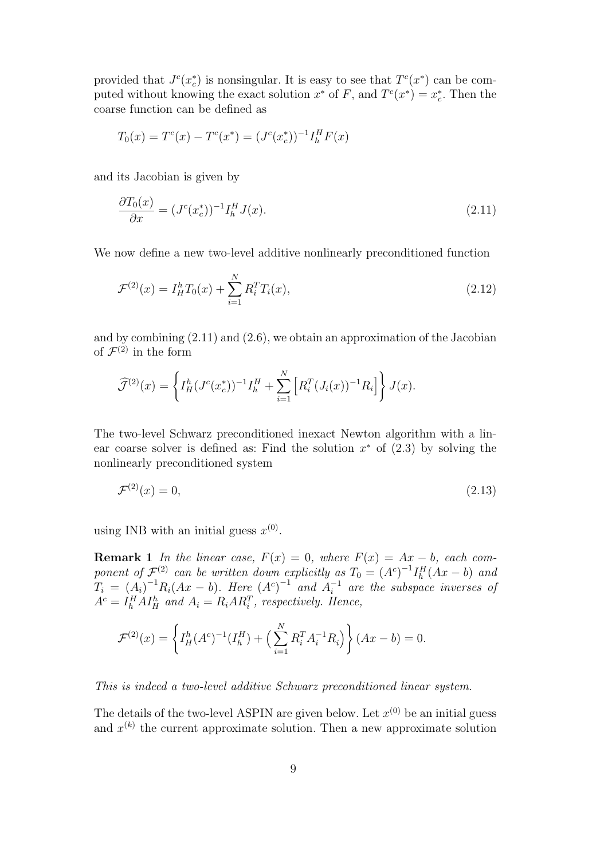provided that  $J^c(x_c^*)$  is nonsingular. It is easy to see that  $T^c(x^*)$  can be computed without knowing the exact solution  $x^*$  of F, and  $T^c(x^*) = x_c^*$ . Then the coarse function can be defined as

$$
T_0(x) = T^c(x) - T^c(x^*) = (J^c(x_c^*))^{-1} I_h^H F(x)
$$

and its Jacobian is given by

$$
\frac{\partial T_0(x)}{\partial x} = (J^c(x_c^*))^{-1} I_h^H J(x). \tag{2.11}
$$

We now define a new two-level additive nonlinearly preconditioned function

$$
\mathcal{F}^{(2)}(x) = I_H^h T_0(x) + \sum_{i=1}^N R_i^T T_i(x), \qquad (2.12)
$$

and by combining (2.11) and (2.6), we obtain an approximation of the Jacobian of  $\mathcal{F}^{(2)}$  in the form

$$
\widehat{\mathcal{J}}^{(2)}(x) = \left\{ I^h_H (J^c(x_c^*))^{-1} I^H_h + \sum_{i=1}^N \left[ R_i^T (J_i(x))^{-1} R_i \right] \right\} J(x).
$$

The two-level Schwarz preconditioned inexact Newton algorithm with a linear coarse solver is defined as: Find the solution  $x^*$  of  $(2.3)$  by solving the nonlinearly preconditioned system

$$
\mathcal{F}^{(2)}(x) = 0,\tag{2.13}
$$

using INB with an initial guess  $x^{(0)}$ .

**Remark 1** In the linear case,  $F(x) = 0$ , where  $F(x) = Ax - b$ , each component of  $\mathcal{F}^{(2)}$  can be written down explicitly as  $T_0 = (A^c)^{-1} I_h^H (Ax - b)$  and  $T_i = (A_i)^{-1} R_i (Ax - b)$ . Here  $(A<sup>c</sup>)^{-1}$  and  $A<sup>-1</sup>_i$  are the subspace inverses of  $A^c = I_h^H A I_H^h$  and  $A_i = R_i A R_i^T$ , respectively. Hence,

$$
\mathcal{F}^{(2)}(x) = \left\{ I_H^h(A^c)^{-1}(I_h^H) + \left( \sum_{i=1}^N R_i^T A_i^{-1} R_i \right) \right\} (Ax - b) = 0.
$$

This is indeed a two-level additive Schwarz preconditioned linear system.

The details of the two-level ASPIN are given below. Let  $x^{(0)}$  be an initial guess and  $x^{(k)}$  the current approximate solution. Then a new approximate solution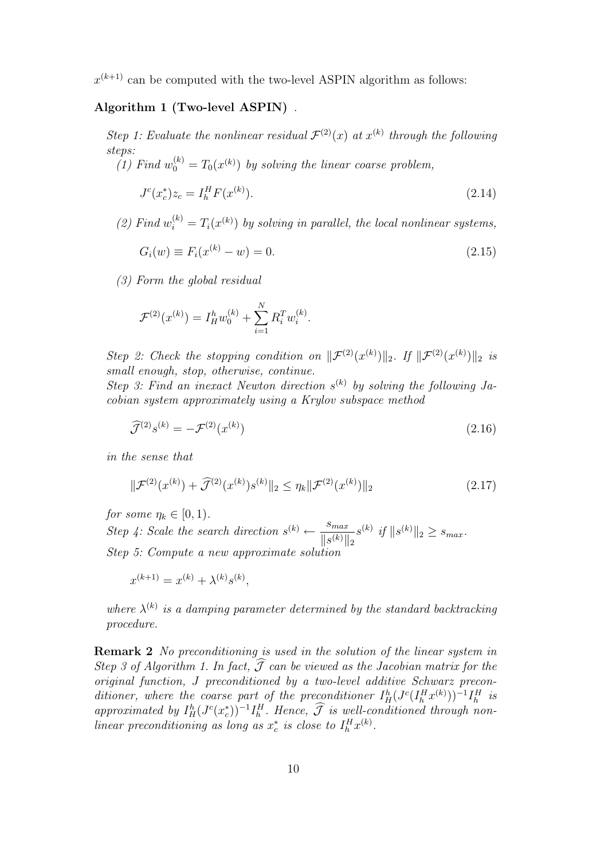$x^{(k+1)}$  can be computed with the two-level ASPIN algorithm as follows:

# Algorithm 1 (Two-level ASPIN) .

Step 1: Evaluate the nonlinear residual  $\mathcal{F}^{(2)}(x)$  at  $x^{(k)}$  through the following steps:

(1) Find  $w_0^{(k)} = T_0(x^{(k)})$  by solving the linear coarse problem,

$$
J^{c}(x_{c}^{*})z_{c} = I_{h}^{H}F(x^{(k)}).
$$
\n(2.14)

(2) Find  $w_i^{(k)} = T_i(x^{(k)})$  by solving in parallel, the local nonlinear systems,

$$
G_i(w) \equiv F_i(x^{(k)} - w) = 0.
$$
\n(2.15)

(3) Form the global residual

$$
\mathcal{F}^{(2)}(x^{(k)}) = I_H^h w_0^{(k)} + \sum_{i=1}^N R_i^T w_i^{(k)}.
$$

Step 2: Check the stopping condition on  $\|\mathcal{F}^{(2)}(x^{(k)})\|_2$ . If  $\|\mathcal{F}^{(2)}(x^{(k)})\|_2$  is small enough, stop, otherwise, continue.

Step 3: Find an inexact Newton direction  $s^{(k)}$  by solving the following Jacobian system approximately using a Krylov subspace method

$$
\widehat{\mathcal{J}}^{(2)}s^{(k)} = -\mathcal{F}^{(2)}(x^{(k)})\tag{2.16}
$$

in the sense that

$$
\|\mathcal{F}^{(2)}(x^{(k)}) + \widehat{\mathcal{J}}^{(2)}(x^{(k)})s^{(k)}\|_2 \le \eta_k \|\mathcal{F}^{(2)}(x^{(k)})\|_2 \tag{2.17}
$$

for some  $\eta_k \in [0,1)$ .

Step 4: Scale the search direction  $s^{(k)} \leftarrow \frac{s_{max}}{\frac{\|f\|_{L\setminus\{k\}}\|}{\|F\|_{L\setminus\{k\}}\|}}$  $\frac{s_{max}}{\|s^{(k)}\|_2} s^{(k)}$  if  $\|s^{(k)}\|_2 \geq s_{max}$ . Step 5: Compute a new approximate solution

$$
x^{(k+1)} = x^{(k)} + \lambda^{(k)} s^{(k)},
$$

where  $\lambda^{(k)}$  is a damping parameter determined by the standard backtracking procedure.

Remark 2 No preconditioning is used in the solution of the linear system in Step 3 of Algorithm 1. In fact,  $\widehat{\mathcal{J}}$  can be viewed as the Jacobian matrix for the original function, J preconditioned by a two-level additive Schwarz preconditioner, where the coarse part of the preconditioner  $I_H^h(J^c(I_h^H x^{(k)}))^{-1}I_h^H$  is approximated by  $I_H^h(J^c(x_c^*))^{-1}I_h^H$ . Hence,  $\widehat{\mathcal{J}}$  is well-conditioned through nonlinear preconditioning as long as  $x_c^*$  is close to  $I_h^H x^{(k)}$ .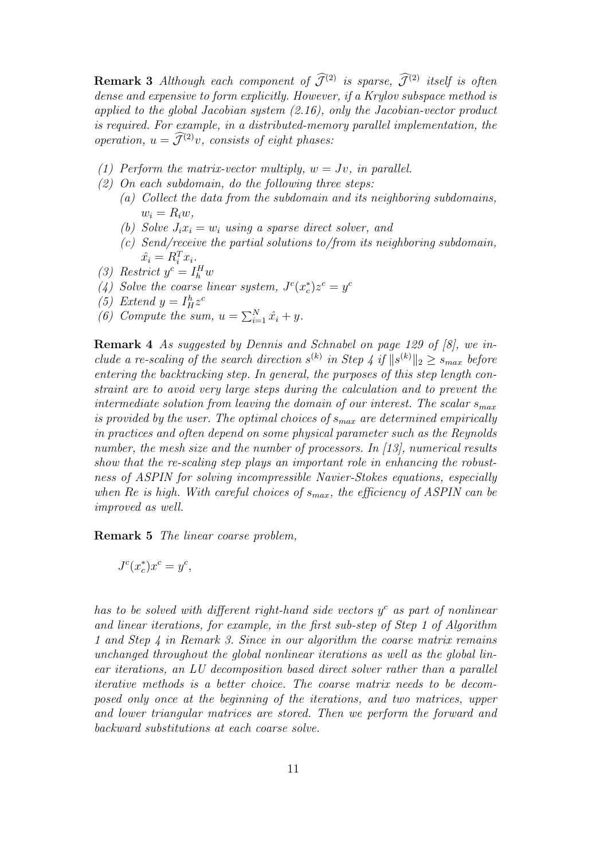**Remark 3** Although each component of  $\widehat{\mathcal{J}}^{(2)}$  is sparse,  $\widehat{\mathcal{J}}^{(2)}$  itself is often dense and expensive to form explicitly. However, if a Krylov subspace method is applied to the global Jacobian system  $(2.16)$ , only the Jacobian-vector product is required. For example, in a distributed-memory parallel implementation, the operation,  $u = \widetilde{\mathcal{J}}^{(2)}v$ , consists of eight phases:

- (1) Perform the matrix-vector multiply,  $w = Jv$ , in parallel.
- $(2)$  On each subdomain, do the following three steps:
	- (a) Collect the data from the subdomain and its neighboring subdomains,  $w_i = R_i w$ ,
	- (b) Solve  $J_i x_i = w_i$  using a sparse direct solver, and
	- (c) Send/receive the partial solutions to/from its neighboring subdomain,  $\hat{x_i} = R_i^T x_i.$
- (3) Restrict  $y^c = I_h^H w$
- (4) Solve the coarse linear system,  $J^c(x_c^*)z^c = y^c$
- (5) Extend  $y = I_H^h z^c$
- (6) Compute the sum,  $u = \sum_{i=1}^{N} \hat{x}_i + y$ .

Remark 4 As suggested by Dennis and Schnabel on page 129 of [8], we include a re-scaling of the search direction  $s^{(k)}$  in Step 4 if  $||s^{(k)}||_2 \geq s_{max}$  before entering the backtracking step. In general, the purposes of this step length constraint are to avoid very large steps during the calculation and to prevent the intermediate solution from leaving the domain of our interest. The scalar  $s_{max}$ is provided by the user. The optimal choices of  $s_{max}$  are determined empirically in practices and often depend on some physical parameter such as the Reynolds number, the mesh size and the number of processors. In [13], numerical results show that the re-scaling step plays an important role in enhancing the robustness of ASPIN for solving incompressible Navier-Stokes equations, especially when Re is high. With careful choices of  $s_{max}$ , the efficiency of ASPIN can be improved as well.

Remark 5 The linear coarse problem,

$$
J^c(x_c^*)x^c = y^c, \quad
$$

has to be solved with different right-hand side vectors  $y^c$  as part of nonlinear and linear iterations, for example, in the first sub-step of Step 1 of Algorithm 1 and Step 4 in Remark 3. Since in our algorithm the coarse matrix remains unchanged throughout the global nonlinear iterations as well as the global linear iterations, an LU decomposition based direct solver rather than a parallel iterative methods is a better choice. The coarse matrix needs to be decomposed only once at the beginning of the iterations, and two matrices, upper and lower triangular matrices are stored. Then we perform the forward and backward substitutions at each coarse solve.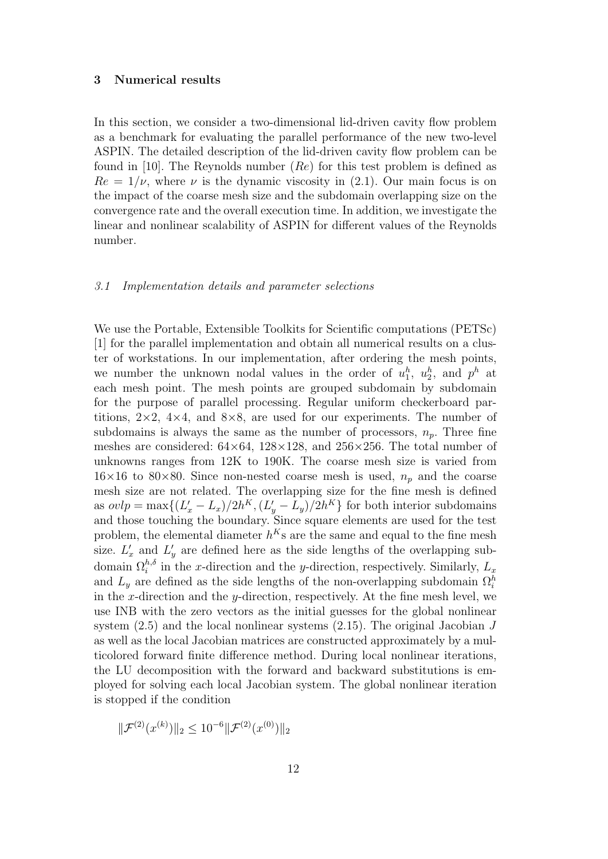#### 3 Numerical results

In this section, we consider a two-dimensional lid-driven cavity flow problem as a benchmark for evaluating the parallel performance of the new two-level ASPIN. The detailed description of the lid-driven cavity flow problem can be found in [10]. The Reynolds number  $(Re)$  for this test problem is defined as  $Re = 1/\nu$ , where  $\nu$  is the dynamic viscosity in (2.1). Our main focus is on the impact of the coarse mesh size and the subdomain overlapping size on the convergence rate and the overall execution time. In addition, we investigate the linear and nonlinear scalability of ASPIN for different values of the Reynolds number.

#### 3.1 Implementation details and parameter selections

We use the Portable, Extensible Toolkits for Scientific computations (PETSc) [1] for the parallel implementation and obtain all numerical results on a cluster of workstations. In our implementation, after ordering the mesh points, we number the unknown nodal values in the order of  $u_1^h$ ,  $u_2^h$ , and  $p^h$  at each mesh point. The mesh points are grouped subdomain by subdomain for the purpose of parallel processing. Regular uniform checkerboard partitions,  $2\times2$ ,  $4\times4$ , and  $8\times8$ , are used for our experiments. The number of subdomains is always the same as the number of processors,  $n_p$ . Three fine meshes are considered:  $64\times64$ ,  $128\times128$ , and  $256\times256$ . The total number of unknowns ranges from 12K to 190K. The coarse mesh size is varied from  $16\times16$  to 80×80. Since non-nested coarse mesh is used,  $n_p$  and the coarse mesh size are not related. The overlapping size for the fine mesh is defined as  $ovlp = \max\{(L'_x - L_x)/2h^K, (L'_y - L_y)/2h^K\}$  for both interior subdomains and those touching the boundary. Since square elements are used for the test problem, the elemental diameter  $h^{K}$ s are the same and equal to the fine mesh size.  $L'_x$  and  $L'_y$  are defined here as the side lengths of the overlapping subdomain  $\Omega_i^{h,\delta}$  in the x-direction and the y-direction, respectively. Similarly,  $L_x$ and  $L_y$  are defined as the side lengths of the non-overlapping subdomain  $\Omega_i^h$ in the x-direction and the y-direction, respectively. At the fine mesh level, we use INB with the zero vectors as the initial guesses for the global nonlinear system  $(2.5)$  and the local nonlinear systems  $(2.15)$ . The original Jacobian J as well as the local Jacobian matrices are constructed approximately by a multicolored forward finite difference method. During local nonlinear iterations, the LU decomposition with the forward and backward substitutions is employed for solving each local Jacobian system. The global nonlinear iteration is stopped if the condition

$$
\|\mathcal{F}^{(2)}(x^{(k)})\|_2 \le 10^{-6} \|\mathcal{F}^{(2)}(x^{(0)})\|_2
$$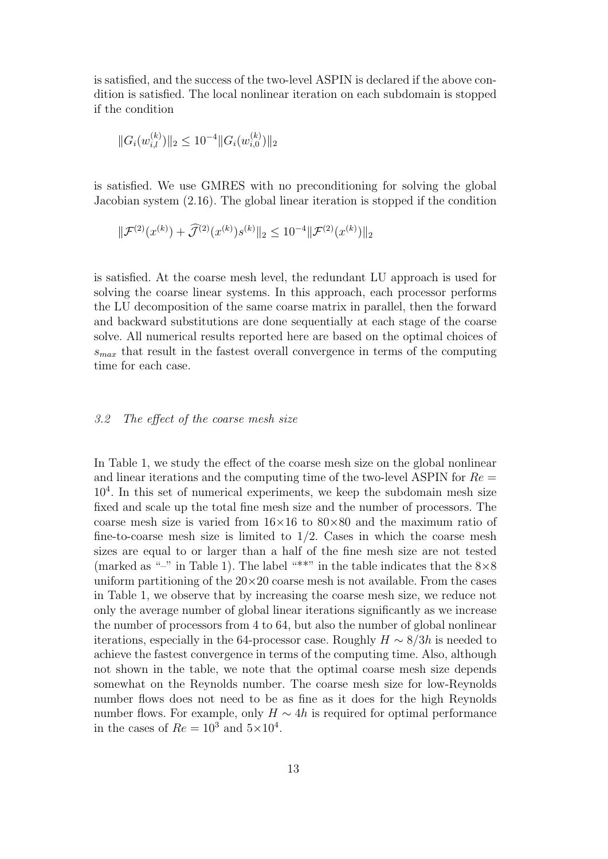is satisfied, and the success of the two-level ASPIN is declared if the above condition is satisfied. The local nonlinear iteration on each subdomain is stopped if the condition

$$
||G_i(w_{i,l}^{(k)})||_2 \le 10^{-4} ||G_i(w_{i,0}^{(k)})||_2
$$

is satisfied. We use GMRES with no preconditioning for solving the global Jacobian system (2.16). The global linear iteration is stopped if the condition

$$
\|\mathcal{F}^{(2)}(x^{(k)}) + \widehat{\mathcal{J}}^{(2)}(x^{(k)})s^{(k)}\|_2 \le 10^{-4} \|\mathcal{F}^{(2)}(x^{(k)})\|_2
$$

is satisfied. At the coarse mesh level, the redundant LU approach is used for solving the coarse linear systems. In this approach, each processor performs the LU decomposition of the same coarse matrix in parallel, then the forward and backward substitutions are done sequentially at each stage of the coarse solve. All numerical results reported here are based on the optimal choices of  $s_{max}$  that result in the fastest overall convergence in terms of the computing time for each case.

# 3.2 The effect of the coarse mesh size

In Table 1, we study the effect of the coarse mesh size on the global nonlinear and linear iterations and the computing time of the two-level ASPIN for  $Re =$  $10<sup>4</sup>$ . In this set of numerical experiments, we keep the subdomain mesh size fixed and scale up the total fine mesh size and the number of processors. The coarse mesh size is varied from  $16\times16$  to  $80\times80$  and the maximum ratio of fine-to-coarse mesh size is limited to  $1/2$ . Cases in which the coarse mesh sizes are equal to or larger than a half of the fine mesh size are not tested (marked as "-" in Table 1). The label "\*\*" in the table indicates that the  $8\times8$ uniform partitioning of the  $20\times20$  coarse mesh is not available. From the cases in Table 1, we observe that by increasing the coarse mesh size, we reduce not only the average number of global linear iterations significantly as we increase the number of processors from 4 to 64, but also the number of global nonlinear iterations, especially in the 64-processor case. Roughly  $H \sim 8/3h$  is needed to achieve the fastest convergence in terms of the computing time. Also, although not shown in the table, we note that the optimal coarse mesh size depends somewhat on the Reynolds number. The coarse mesh size for low-Reynolds number flows does not need to be as fine as it does for the high Reynolds number flows. For example, only  $H \sim 4h$  is required for optimal performance in the cases of  $Re = 10^3$  and  $5 \times 10^4$ .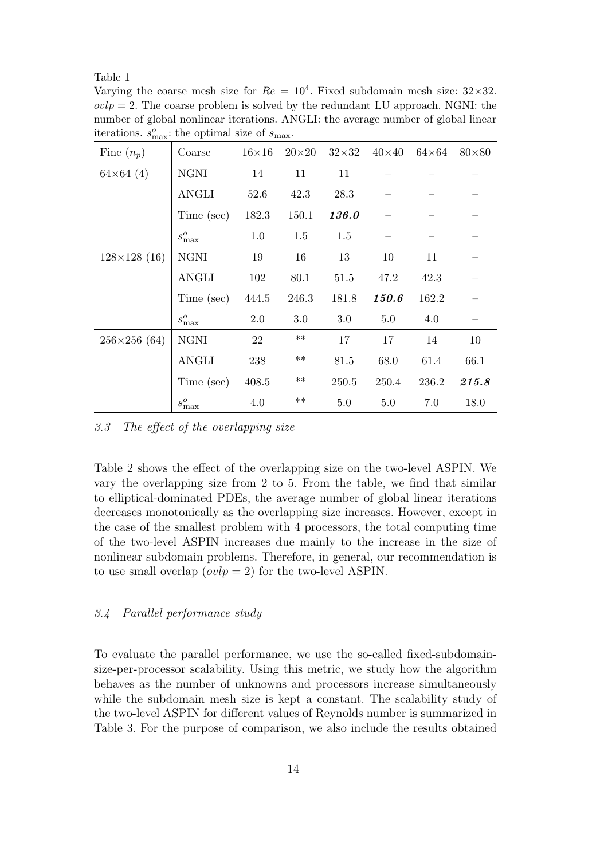Table 1

Varying the coarse mesh size for  $Re = 10^4$ . Fixed subdomain mesh size:  $32 \times 32$ .  $ovlp = 2$ . The coarse problem is solved by the redundant LU approach. NGNI: the number of global nonlinear iterations. ANGLI: the average number of global linear iterations.  $s_{\text{max}}^o$ : the optimal size of  $s_{\text{max}}$ .

| Fine $(n_p)$          | Coarse          | $16\times16$ | $20\times 20$ | $32\times32$ | $40\times40$ | $64\times64$ | $80\times80$ |
|-----------------------|-----------------|--------------|---------------|--------------|--------------|--------------|--------------|
| $64\times64(4)$       | <b>NGNI</b>     | 14           | 11            | 11           |              |              |              |
|                       | ANGLI           | 52.6         | 42.3          | 28.3         |              |              |              |
|                       | Time (sec)      | 182.3        | 150.1         | <b>136.0</b> |              |              |              |
|                       | $s^o_{\rm max}$ | 1.0          | 1.5           | 1.5          |              |              |              |
| $128\times128$ (16)   | <b>NGNI</b>     | 19           | 16            | 13           | 10           | 11           |              |
|                       | ANGLI           | 102          | 80.1          | 51.5         | 47.2         | 42.3         |              |
|                       | Time (sec)      | 444.5        | 246.3         | 181.8        | <b>150.6</b> | 162.2        |              |
|                       | $s_{\max}^o$    | 2.0          | $3.0\,$       | 3.0          | 5.0          | 4.0          |              |
| $256 \times 256$ (64) | <b>NGNI</b>     | 22           | $***$         | 17           | 17           | 14           | 10           |
|                       | <b>ANGLI</b>    | 238          | $***$         | 81.5         | 68.0         | 61.4         | 66.1         |
|                       | Time (sec)      | 408.5        | $***$         | 250.5        | 250.4        | 236.2        | 215.8        |
|                       | $s_{\max}^o$    | 4.0          | $**$          | 5.0          | 5.0          | 7.0          | 18.0         |

3.3 The effect of the overlapping size

Table 2 shows the effect of the overlapping size on the two-level ASPIN. We vary the overlapping size from 2 to 5. From the table, we find that similar to elliptical-dominated PDEs, the average number of global linear iterations decreases monotonically as the overlapping size increases. However, except in the case of the smallest problem with 4 processors, the total computing time of the two-level ASPIN increases due mainly to the increase in the size of nonlinear subdomain problems. Therefore, in general, our recommendation is to use small overlap  $(ovlp = 2)$  for the two-level ASPIN.

## 3.4 Parallel performance study

To evaluate the parallel performance, we use the so-called fixed-subdomainsize-per-processor scalability. Using this metric, we study how the algorithm behaves as the number of unknowns and processors increase simultaneously while the subdomain mesh size is kept a constant. The scalability study of the two-level ASPIN for different values of Reynolds number is summarized in Table 3. For the purpose of comparison, we also include the results obtained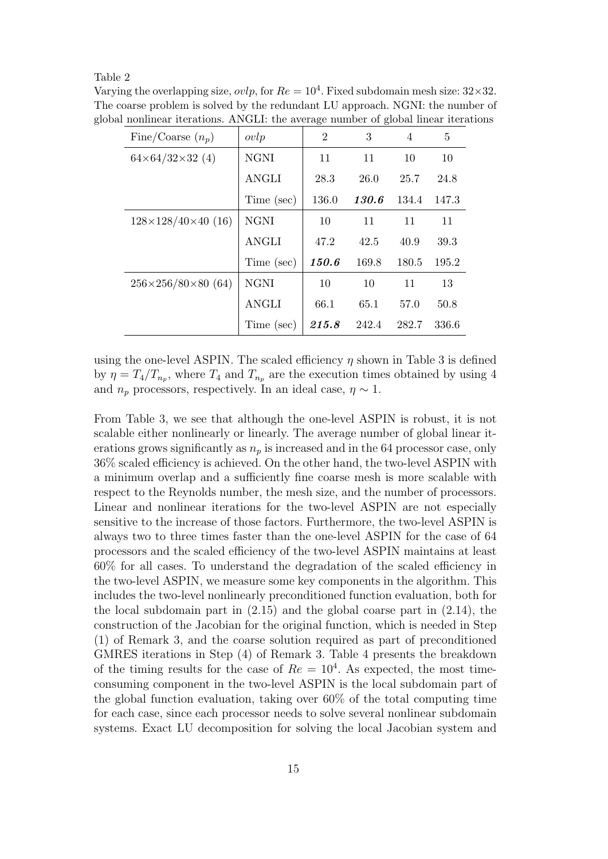#### Table 2

Varying the overlapping size,  $ovlp$ , for  $Re = 10<sup>4</sup>$ . Fixed subdomain mesh size:  $32 \times 32$ . The coarse problem is solved by the redundant LU approach. NGNI: the number of global nonlinear iterations. ANGLI: the average number of global linear iterations

| Fine/Coarse $(n_p)$                  | ovlp         | $\overline{2}$ | 3            | $\overline{4}$ | 5     |
|--------------------------------------|--------------|----------------|--------------|----------------|-------|
| $64\times64/32\times32$ (4)          | <b>NGNI</b>  | 11             | 11           | 10             | 10    |
|                                      | <b>ANGLI</b> | 28.3           | 26.0         | 25.7           | 24.8  |
|                                      | Time (sec)   | 136.0          | <b>130.6</b> | 134.4          | 147.3 |
| $128\times128/40\times40(16)$        | <b>NGNI</b>  | 10             | 11           | 11             | 11    |
|                                      | <b>ANGLI</b> | 47.2           | 42.5         | 40.9           | 39.3  |
|                                      | Time (sec)   | 150.6          | 169.8        | 180.5          | 195.2 |
| $256 \times 256 / 80 \times 80$ (64) | <b>NGNI</b>  | 10             | 10           | 11             | 13    |
|                                      | <b>ANGLI</b> | 66.1           | 65.1         | 57.0           | 50.8  |
|                                      | Time (sec)   | 215.8          | 242.4        | 282.7          | 336.6 |

using the one-level ASPIN. The scaled efficiency  $\eta$  shown in Table 3 is defined by  $\eta = T_4/T_{n_p}$ , where  $T_4$  and  $T_{n_p}$  are the execution times obtained by using 4 and  $n_p$  processors, respectively. In an ideal case,  $\eta \sim 1$ .

From Table 3, we see that although the one-level ASPIN is robust, it is not scalable either nonlinearly or linearly. The average number of global linear iterations grows significantly as  $n_p$  is increased and in the 64 processor case, only 36% scaled efficiency is achieved. On the other hand, the two-level ASPIN with a minimum overlap and a sufficiently fine coarse mesh is more scalable with respect to the Reynolds number, the mesh size, and the number of processors. Linear and nonlinear iterations for the two-level ASPIN are not especially sensitive to the increase of those factors. Furthermore, the two-level ASPIN is always two to three times faster than the one-level ASPIN for the case of 64 processors and the scaled efficiency of the two-level ASPIN maintains at least 60% for all cases. To understand the degradation of the scaled efficiency in the two-level ASPIN, we measure some key components in the algorithm. This includes the two-level nonlinearly preconditioned function evaluation, both for the local subdomain part in (2.15) and the global coarse part in (2.14), the construction of the Jacobian for the original function, which is needed in Step (1) of Remark 3, and the coarse solution required as part of preconditioned GMRES iterations in Step (4) of Remark 3. Table 4 presents the breakdown of the timing results for the case of  $Re = 10<sup>4</sup>$ . As expected, the most timeconsuming component in the two-level ASPIN is the local subdomain part of the global function evaluation, taking over 60% of the total computing time for each case, since each processor needs to solve several nonlinear subdomain systems. Exact LU decomposition for solving the local Jacobian system and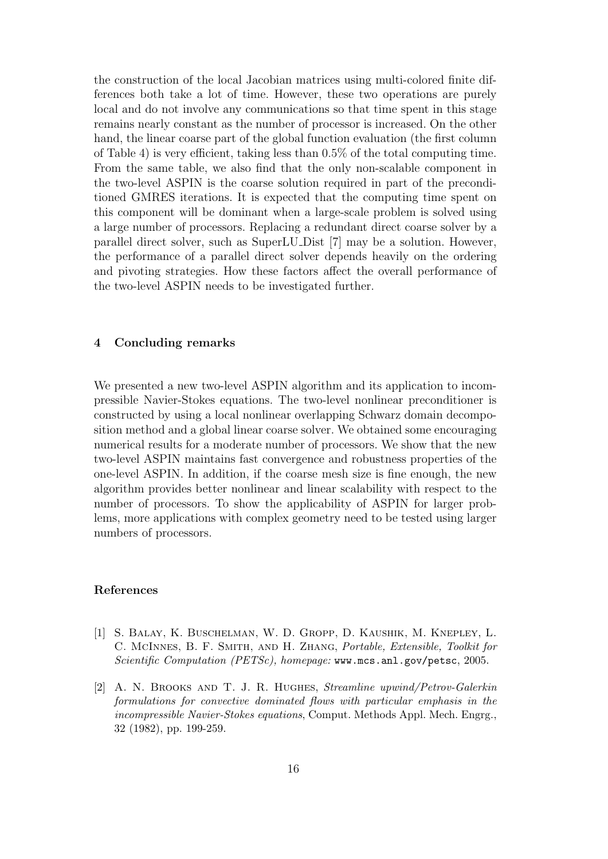the construction of the local Jacobian matrices using multi-colored finite differences both take a lot of time. However, these two operations are purely local and do not involve any communications so that time spent in this stage remains nearly constant as the number of processor is increased. On the other hand, the linear coarse part of the global function evaluation (the first column of Table 4) is very efficient, taking less than 0.5% of the total computing time. From the same table, we also find that the only non-scalable component in the two-level ASPIN is the coarse solution required in part of the preconditioned GMRES iterations. It is expected that the computing time spent on this component will be dominant when a large-scale problem is solved using a large number of processors. Replacing a redundant direct coarse solver by a parallel direct solver, such as SuperLU Dist [7] may be a solution. However, the performance of a parallel direct solver depends heavily on the ordering and pivoting strategies. How these factors affect the overall performance of the two-level ASPIN needs to be investigated further.

# 4 Concluding remarks

We presented a new two-level ASPIN algorithm and its application to incompressible Navier-Stokes equations. The two-level nonlinear preconditioner is constructed by using a local nonlinear overlapping Schwarz domain decomposition method and a global linear coarse solver. We obtained some encouraging numerical results for a moderate number of processors. We show that the new two-level ASPIN maintains fast convergence and robustness properties of the one-level ASPIN. In addition, if the coarse mesh size is fine enough, the new algorithm provides better nonlinear and linear scalability with respect to the number of processors. To show the applicability of ASPIN for larger problems, more applications with complex geometry need to be tested using larger numbers of processors.

# References

- [1] S. Balay, K. Buschelman, W. D. Gropp, D. Kaushik, M. Knepley, L. C. McInnes, B. F. Smith, and H. Zhang, Portable, Extensible, Toolkit for Scientific Computation (PETSc), homepage: www.mcs.anl.gov/petsc, 2005.
- [2] A. N. Brooks and T. J. R. Hughes, Streamline upwind/Petrov-Galerkin formulations for convective dominated flows with particular emphasis in the incompressible Navier-Stokes equations, Comput. Methods Appl. Mech. Engrg., 32 (1982), pp. 199-259.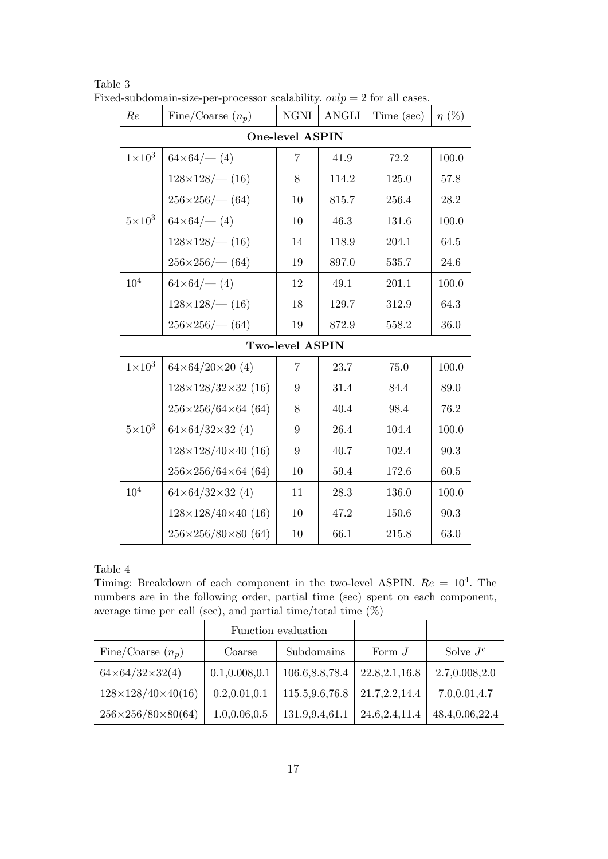| Re                     | Fine/Coarse $(n_p)$                  | NGNI             | <b>ANGLI</b> | Time (sec) | $\eta$ (%) |  |  |
|------------------------|--------------------------------------|------------------|--------------|------------|------------|--|--|
| <b>One-level ASPIN</b> |                                      |                  |              |            |            |  |  |
| $1\times10^3$          | $64\times64/-(4)$                    | 7                | 41.9         | 72.2       | 100.0      |  |  |
|                        | $128\times128/$ (16)                 | 8                | 114.2        | 125.0      | 57.8       |  |  |
|                        | $256\times256$ (-64)                 | 10               | 815.7        | 256.4      | 28.2       |  |  |
| $5\times10^3$          | $64\times64/-(4)$                    | 10               | 46.3         | 131.6      | 100.0      |  |  |
|                        | $128\times128/-(16)$                 | $14\,$           | 118.9        | 204.1      | 64.5       |  |  |
|                        | $256\times256$ (-64)                 | 19               | 897.0        | 535.7      | 24.6       |  |  |
| 10 <sup>4</sup>        | $64\times64/-(4)$                    | 12               | 49.1         | 201.1      | 100.0      |  |  |
|                        | $128\times128/-(16)$                 | 18               | 129.7        | 312.9      | 64.3       |  |  |
|                        | $256 \times 256$ / $- (64)$          | $19\,$           | 872.9        | 558.2      | 36.0       |  |  |
| Two-level ASPIN        |                                      |                  |              |            |            |  |  |
| $1\times10^3$          | $64\times64/20\times20$ (4)          | 7                | 23.7         | 75.0       | 100.0      |  |  |
|                        | $128\times128/32\times32$ (16)       | $\boldsymbol{9}$ | 31.4         | 84.4       | 89.0       |  |  |
|                        | $256 \times 256 / 64 \times 64$ (64) | 8                | 40.4         | 98.4       | 76.2       |  |  |
| $5\times10^3$          | $64\times64/32\times32$ (4)          | $9\phantom{.}$   | 26.4         | 104.4      | 100.0      |  |  |
|                        | $128\times128/40\times40$ (16)       | 9                | 40.7         | 102.4      | 90.3       |  |  |
|                        | $256 \times 256 / 64 \times 64$ (64) | $10\,$           | 59.4         | 172.6      | 60.5       |  |  |
| $10^{4}$               | $64\times64/32\times32$ (4)          | 11               | 28.3         | 136.0      | 100.0      |  |  |
|                        | $128\times128/40\times40$ (16)       | $10\,$           | 47.2         | 150.6      | 90.3       |  |  |
|                        | $256 \times 256 / 80 \times 80$ (64) | $10\,$           | 66.1         | 215.8      | 63.0       |  |  |

Table 3 Fixed-subdomain-size-per-processor scalability.  $ovlp = 2$  for all cases.

Table 4

Timing: Breakdown of each component in the two-level ASPIN.  $Re = 10^4$ . The numbers are in the following order, partial time (sec) spent on each component, average time per call (sec), and partial time/total time  $(\%)$ 

|                                     |                 | Function evaluation |                 |                |
|-------------------------------------|-----------------|---------------------|-----------------|----------------|
| Fine/Coarse $(n_p)$                 | Coarse          | Subdomains          | Form $J$        | Solve $J^c$    |
| $64 \times 64 / 32 \times 32(4)$    | 0.1, 0.008, 0.1 | 106.6, 8.8, 78.4    | 22.8, 2.1, 16.8 | 2.7,0.008,2.0  |
| $128 \times 128 / 40 \times 40(16)$ | 0.2, 0.01, 0.1  | 115.5,9.6,76.8      | 21.7, 2.2, 14.4 | 7.0,0.01,4.7   |
| $256 \times 256 / 80 \times 80(64)$ | 1.0, 0.06, 0.5  | 131.9,9.4,61.1      | 24.6, 2.4, 11.4 | 48.4,0.06,22.4 |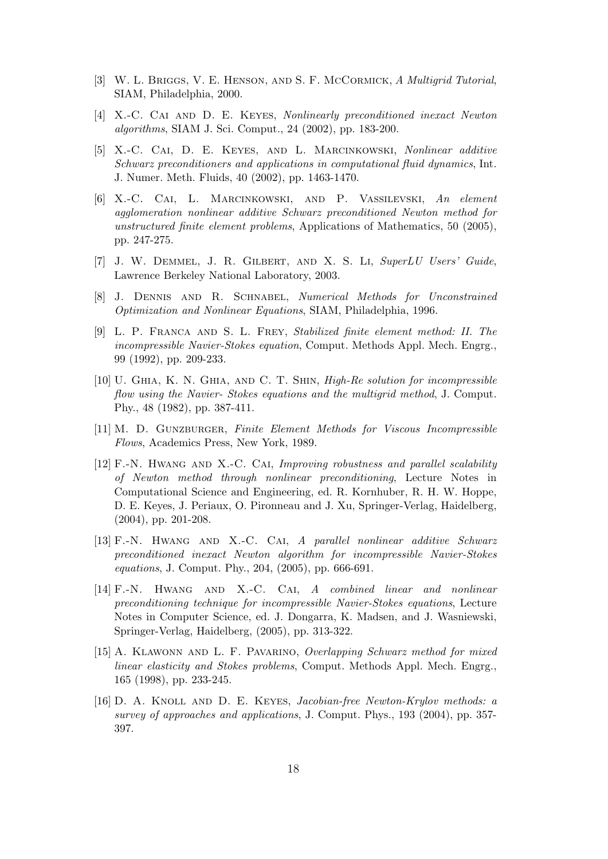- [3] W. L. Briggs, V. E. Henson, and S. F. McCormick, A Multigrid Tutorial, SIAM, Philadelphia, 2000.
- [4] X.-C. Cai and D. E. Keyes, Nonlinearly preconditioned inexact Newton algorithms, SIAM J. Sci. Comput., 24 (2002), pp. 183-200.
- [5] X.-C. Cai, D. E. Keyes, and L. Marcinkowski, Nonlinear additive Schwarz preconditioners and applications in computational fluid dynamics, Int. J. Numer. Meth. Fluids, 40 (2002), pp. 1463-1470.
- [6] X.-C. Cai, L. Marcinkowski, and P. Vassilevski, An element agglomeration nonlinear additive Schwarz preconditioned Newton method for unstructured finite element problems, Applications of Mathematics, 50 (2005), pp. 247-275.
- [7] J. W. Demmel, J. R. Gilbert, and X. S. Li, SuperLU Users' Guide, Lawrence Berkeley National Laboratory, 2003.
- [8] J. Dennis and R. Schnabel, Numerical Methods for Unconstrained Optimization and Nonlinear Equations, SIAM, Philadelphia, 1996.
- [9] L. P. Franca and S. L. Frey, Stabilized finite element method: II. The incompressible Navier-Stokes equation, Comput. Methods Appl. Mech. Engrg., 99 (1992), pp. 209-233.
- [10] U. Ghia, K. N. Ghia, and C. T. Shin, High-Re solution for incompressible flow using the Navier- Stokes equations and the multigrid method, J. Comput. Phy., 48 (1982), pp. 387-411.
- [11] M. D. GUNZBURGER, Finite Element Methods for Viscous Incompressible Flows, Academics Press, New York, 1989.
- [12] F.-N. HWANG AND X.-C. CAI, Improving robustness and parallel scalability of Newton method through nonlinear preconditioning, Lecture Notes in Computational Science and Engineering, ed. R. Kornhuber, R. H. W. Hoppe, D. E. Keyes, J. Periaux, O. Pironneau and J. Xu, Springer-Verlag, Haidelberg, (2004), pp. 201-208.
- [13] F.-N. Hwang and X.-C. Cai, A parallel nonlinear additive Schwarz preconditioned inexact Newton algorithm for incompressible Navier-Stokes equations, J. Comput. Phy., 204, (2005), pp. 666-691.
- [14] F.-N. Hwang and X.-C. Cai, A combined linear and nonlinear preconditioning technique for incompressible Navier-Stokes equations, Lecture Notes in Computer Science, ed. J. Dongarra, K. Madsen, and J. Wasniewski, Springer-Verlag, Haidelberg, (2005), pp. 313-322.
- [15] A. KLAWONN AND L. F. PAVARINO, Overlapping Schwarz method for mixed linear elasticity and Stokes problems, Comput. Methods Appl. Mech. Engrg., 165 (1998), pp. 233-245.
- [16] D. A. Knoll and D. E. Keyes, Jacobian-free Newton-Krylov methods: a survey of approaches and applications, J. Comput. Phys., 193 (2004), pp. 357- 397.